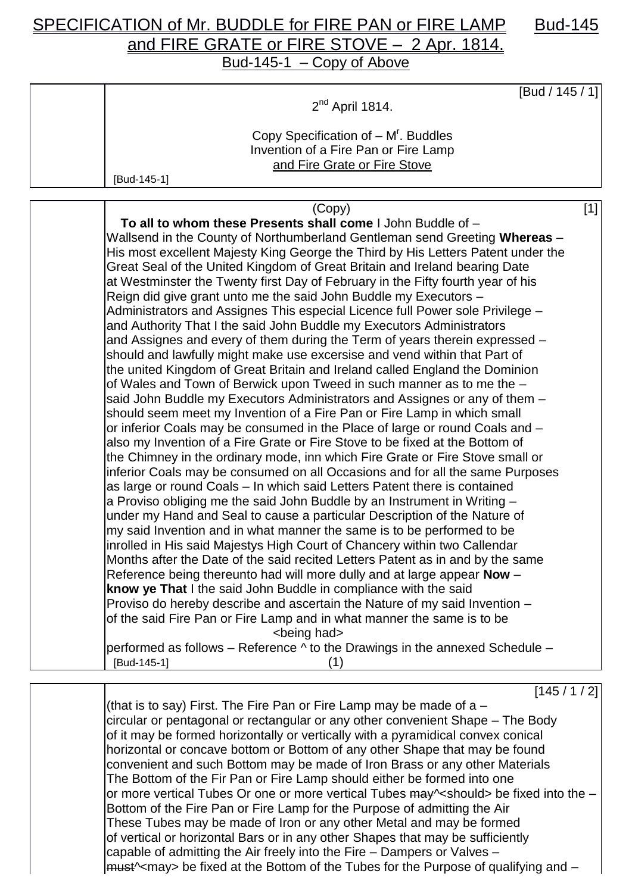## SPECIFICATION of Mr. BUDDLE for FIRE PAN or FIRE LAMP Bud-145 and FIRE GRATE or FIRE STOVE - 2 Apr. 1814. Bud-145-1 – Copy of Above

[Bud / 145 / 1] 2<sup>nd</sup> April 1814. Copy Specification of  $-M^r$ . Buddles Invention of a Fire Pan or Fire Lamp and Fire Grate or Fire Stove [Bud-145-1]

| (Copy)                                                                              | $[1]$ |
|-------------------------------------------------------------------------------------|-------|
| To all to whom these Presents shall come I John Buddle of -                         |       |
| Wallsend in the County of Northumberland Gentleman send Greeting Whereas -          |       |
| His most excellent Majesty King George the Third by His Letters Patent under the    |       |
| Great Seal of the United Kingdom of Great Britain and Ireland bearing Date          |       |
| at Westminster the Twenty first Day of February in the Fifty fourth year of his     |       |
| Reign did give grant unto me the said John Buddle my Executors -                    |       |
| Administrators and Assignes This especial Licence full Power sole Privilege -       |       |
| and Authority That I the said John Buddle my Executors Administrators               |       |
| and Assignes and every of them during the Term of years therein expressed -         |       |
| should and lawfully might make use excersise and vend within that Part of           |       |
| the united Kingdom of Great Britain and Ireland called England the Dominion         |       |
| of Wales and Town of Berwick upon Tweed in such manner as to me the -               |       |
| said John Buddle my Executors Administrators and Assignes or any of them -          |       |
| should seem meet my Invention of a Fire Pan or Fire Lamp in which small             |       |
| or inferior Coals may be consumed in the Place of large or round Coals and -        |       |
| also my Invention of a Fire Grate or Fire Stove to be fixed at the Bottom of        |       |
| the Chimney in the ordinary mode, inn which Fire Grate or Fire Stove small or       |       |
| inferior Coals may be consumed on all Occasions and for all the same Purposes       |       |
| as large or round Coals – In which said Letters Patent there is contained           |       |
| a Proviso obliging me the said John Buddle by an Instrument in Writing -            |       |
| under my Hand and Seal to cause a particular Description of the Nature of           |       |
| my said Invention and in what manner the same is to be performed to be              |       |
| inrolled in His said Majestys High Court of Chancery within two Callendar           |       |
| Months after the Date of the said recited Letters Patent as in and by the same      |       |
| Reference being thereunto had will more dully and at large appear Now -             |       |
| know ye That I the said John Buddle in compliance with the said                     |       |
| Proviso do hereby describe and ascertain the Nature of my said Invention -          |       |
| of the said Fire Pan or Fire Lamp and in what manner the same is to be              |       |
| <being had=""></being>                                                              |       |
| performed as follows – Reference $\wedge$ to the Drawings in the annexed Schedule – |       |
| [Bud-145-1]<br>(1)                                                                  |       |
| [145/1/2]                                                                           |       |
|                                                                                     |       |

(that is to say) First. The Fire Pan or Fire Lamp may be made of a  $$ circular or pentagonal or rectangular or any other convenient Shape – The Body of it may be formed horizontally or vertically with a pyramidical convex conical horizontal or concave bottom or Bottom of any other Shape that may be found convenient and such Bottom may be made of Iron Brass or any other Materials The Bottom of the Fir Pan or Fire Lamp should either be formed into one or more vertical Tubes Or one or more vertical Tubes may ~< should> be fixed into the – Bottom of the Fire Pan or Fire Lamp for the Purpose of admitting the Air These Tubes may be made of Iron or any other Metal and may be formed of vertical or horizontal Bars or in any other Shapes that may be sufficiently capable of admitting the Air freely into the Fire – Dampers or Valves – |<del>must</del>^<may> be fixed at the Bottom of the Tubes for the Purpose of qualifying and –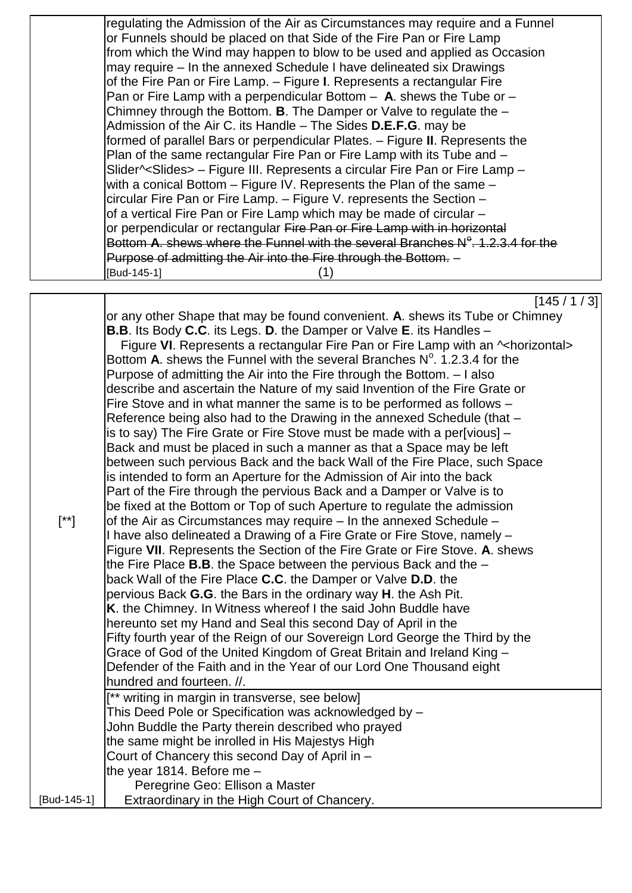|             | regulating the Admission of the Air as Circumstances may require and a Funnel               |
|-------------|---------------------------------------------------------------------------------------------|
|             | or Funnels should be placed on that Side of the Fire Pan or Fire Lamp                       |
|             | from which the Wind may happen to blow to be used and applied as Occasion                   |
|             | may require – In the annexed Schedule I have delineated six Drawings                        |
|             | of the Fire Pan or Fire Lamp. - Figure I. Represents a rectangular Fire                     |
|             | Pan or Fire Lamp with a perpendicular Bottom $-$ A. shews the Tube or $-$                   |
|             | Chimney through the Bottom. <b>B</b> . The Damper or Valve to regulate the $-$              |
|             | Admission of the Air C. its Handle – The Sides D.E.F.G. may be                              |
|             | formed of parallel Bars or perpendicular Plates. - Figure II. Represents the                |
|             | Plan of the same rectangular Fire Pan or Fire Lamp with its Tube and –                      |
|             | Slider^ <slides> - Figure III. Represents a circular Fire Pan or Fire Lamp -</slides>       |
|             | with a conical Bottom $-$ Figure IV. Represents the Plan of the same $-$                    |
|             | circular Fire Pan or Fire Lamp. - Figure V. represents the Section -                        |
|             | of a vertical Fire Pan or Fire Lamp which may be made of circular –                         |
|             | or perpendicular or rectangular Fire Pan or Fire Lamp with in horizontal                    |
|             | Bottom A, shews where the Funnel with the several Branches $N^{\circ}$ , 1, 2, 3, 4 for the |
|             | Purpose of admitting the Air into the Fire through the Bottom. -                            |
|             | [Bud-145-1]<br>(1)                                                                          |
|             |                                                                                             |
|             | [145/1/3]                                                                                   |
|             | or any other Shape that may be found convenient. A. shews its Tube or Chimney               |
|             | <b>B.B.</b> Its Body C.C. its Legs. D. the Damper or Valve E. its Handles -                 |
|             | Figure VI. Represents a rectangular Fire Pan or Fire Lamp with an ~horizontal>              |
|             | Bottom A. shews the Funnel with the several Branches $N^{\circ}$ . 1.2.3.4 for the          |
|             | Purpose of admitting the Air into the Fire through the Bottom. - I also                     |
|             | describe and ascertain the Nature of my said Invention of the Fire Grate or                 |
|             | Fire Stove and in what manner the same is to be performed as follows -                      |
|             | Reference being also had to the Drawing in the annexed Schedule (that -                     |
|             | is to say) The Fire Grate or Fire Stove must be made with a per[vious] -                    |
|             | Back and must be placed in such a manner as that a Space may be left                        |
|             | between such pervious Back and the back Wall of the Fire Place, such Space                  |
|             | is intended to form an Aperture for the Admission of Air into the back                      |
|             | Part of the Fire through the pervious Back and a Damper or Valve is to                      |
|             | be fixed at the Bottom or Top of such Aperture to regulate the admission                    |
| $[^{**}]$   | of the Air as Circumstances may require – In the annexed Schedule –                         |
|             | I have also delineated a Drawing of a Fire Grate or Fire Stove, namely -                    |
|             | Figure VII. Represents the Section of the Fire Grate or Fire Stove. A. shews                |
|             | the Fire Place $B.B.$ the Space between the pervious Back and the $-$                       |
|             | back Wall of the Fire Place C.C. the Damper or Valve D.D. the                               |
|             | pervious Back G.G. the Bars in the ordinary way H. the Ash Pit.                             |
|             | K. the Chimney. In Witness whereof I the said John Buddle have                              |
|             | hereunto set my Hand and Seal this second Day of April in the                               |
|             | Fifty fourth year of the Reign of our Sovereign Lord George the Third by the                |
|             | Grace of God of the United Kingdom of Great Britain and Ireland King -                      |
|             | Defender of the Faith and in the Year of our Lord One Thousand eight                        |
|             | hundred and fourteen. //.                                                                   |
|             | writing in margin in transverse, see below]                                                 |
|             | This Deed Pole or Specification was acknowledged by -                                       |
|             | John Buddle the Party therein described who prayed                                          |
|             | the same might be inrolled in His Majestys High                                             |
|             | Court of Chancery this second Day of April in -                                             |
|             | the year 1814. Before me -                                                                  |
|             | Peregrine Geo: Ellison a Master                                                             |
|             |                                                                                             |
| [Bud-145-1] | Extraordinary in the High Court of Chancery.                                                |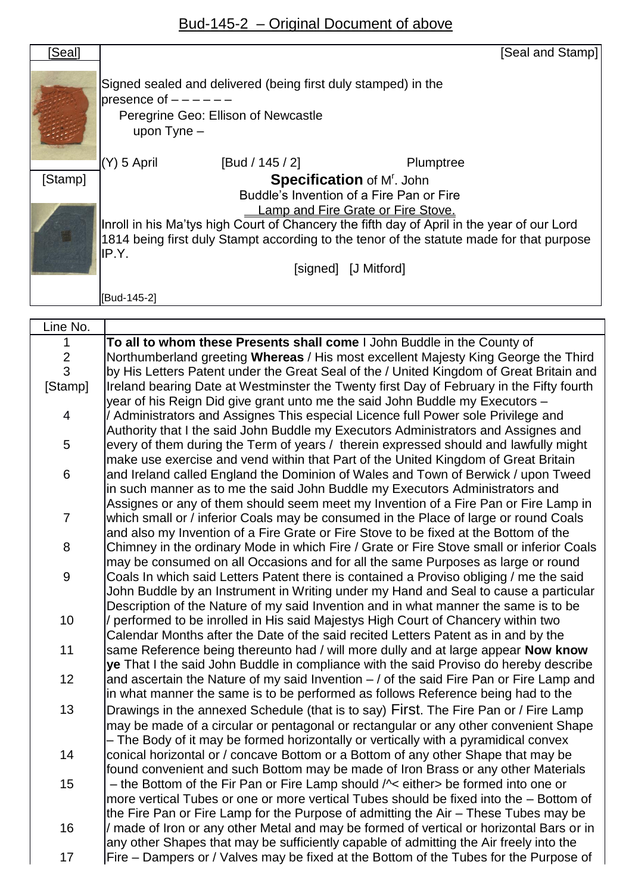## Bud-145-2 – Original Document of above

| [Seal]  |                                                                                                                                                                                        |                      | [Seal and Stamp] |  |  |  |
|---------|----------------------------------------------------------------------------------------------------------------------------------------------------------------------------------------|----------------------|------------------|--|--|--|
|         | Signed sealed and delivered (being first duly stamped) in the<br>presence of $-$<br>Peregrine Geo: Ellison of Newcastle<br>upon $Type -$                                               |                      |                  |  |  |  |
|         | $(Y)$ 5 April                                                                                                                                                                          | [Bud / 145 / 2]      | Plumptree        |  |  |  |
| [Stamp] | <b>Specification of M'. John</b>                                                                                                                                                       |                      |                  |  |  |  |
|         | Buddle's Invention of a Fire Pan or Fire                                                                                                                                               |                      |                  |  |  |  |
|         | Lamp and Fire Grate or Fire Stove.                                                                                                                                                     |                      |                  |  |  |  |
|         | Inroll in his Ma'tys high Court of Chancery the fifth day of April in the year of our Lord<br>1814 being first duly Stampt according to the tenor of the statute made for that purpose |                      |                  |  |  |  |
|         | IP.Y.                                                                                                                                                                                  | [signed] [J Mitford] |                  |  |  |  |
|         |                                                                                                                                                                                        |                      |                  |  |  |  |
|         | [Bud-145-2]                                                                                                                                                                            |                      |                  |  |  |  |

| Line No.         |                                                                                             |
|------------------|---------------------------------------------------------------------------------------------|
| $\mathbf{1}$     | To all to whom these Presents shall come I John Buddle in the County of                     |
| $\overline{c}$   | Northumberland greeting Whereas / His most excellent Majesty King George the Third          |
| $\overline{3}$   | by His Letters Patent under the Great Seal of the / United Kingdom of Great Britain and     |
| [Stamp]          | Ireland bearing Date at Westminster the Twenty first Day of February in the Fifty fourth    |
|                  | year of his Reign Did give grant unto me the said John Buddle my Executors -                |
| $\overline{4}$   | Administrators and Assignes This especial Licence full Power sole Privilege and             |
|                  | Authority that I the said John Buddle my Executors Administrators and Assignes and          |
| 5                | every of them during the Term of years / therein expressed should and lawfully might        |
|                  | make use exercise and vend within that Part of the United Kingdom of Great Britain          |
| $\,6$            | and Ireland called England the Dominion of Wales and Town of Berwick / upon Tweed           |
|                  | in such manner as to me the said John Buddle my Executors Administrators and                |
|                  | Assignes or any of them should seem meet my Invention of a Fire Pan or Fire Lamp in         |
| $\overline{7}$   | which small or / inferior Coals may be consumed in the Place of large or round Coals        |
|                  | and also my Invention of a Fire Grate or Fire Stove to be fixed at the Bottom of the        |
| 8                | Chimney in the ordinary Mode in which Fire / Grate or Fire Stove small or inferior Coals    |
|                  | may be consumed on all Occasions and for all the same Purposes as large or round            |
| $\boldsymbol{9}$ | Coals In which said Letters Patent there is contained a Proviso obliging / me the said      |
|                  | John Buddle by an Instrument in Writing under my Hand and Seal to cause a particular        |
|                  | Description of the Nature of my said Invention and in what manner the same is to be         |
| 10               | / performed to be inrolled in His said Majestys High Court of Chancery within two           |
|                  | Calendar Months after the Date of the said recited Letters Patent as in and by the          |
| 11               | same Reference being thereunto had / will more dully and at large appear Now know           |
|                  | ye That I the said John Buddle in compliance with the said Proviso do hereby describe       |
| 12               | and ascertain the Nature of my said Invention $-$ / of the said Fire Pan or Fire Lamp and   |
|                  | in what manner the same is to be performed as follows Reference being had to the            |
| 13               | Drawings in the annexed Schedule (that is to say) First. The Fire Pan or / Fire Lamp        |
|                  | may be made of a circular or pentagonal or rectangular or any other convenient Shape        |
|                  | - The Body of it may be formed horizontally or vertically with a pyramidical convex         |
| 14               | conical horizontal or / concave Bottom or a Bottom of any other Shape that may be           |
|                  | found convenient and such Bottom may be made of Iron Brass or any other Materials           |
| 15               | - the Bottom of the Fir Pan or Fire Lamp should $\sqrt{\cdot}$ either be formed into one or |
|                  | more vertical Tubes or one or more vertical Tubes should be fixed into the - Bottom of      |
|                  | the Fire Pan or Fire Lamp for the Purpose of admitting the Air – These Tubes may be         |
| 16               | made of Iron or any other Metal and may be formed of vertical or horizontal Bars or in      |
|                  | any other Shapes that may be sufficiently capable of admitting the Air freely into the      |
| 17               | Fire – Dampers or / Valves may be fixed at the Bottom of the Tubes for the Purpose of       |
|                  |                                                                                             |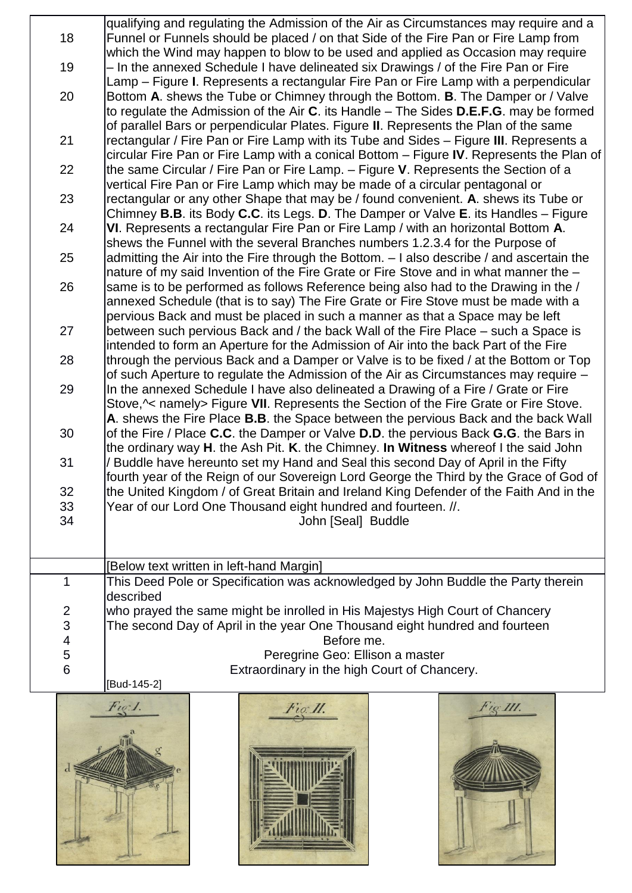qualifying and regulating the Admission of the Air as Circumstances may require and a 18 Funnel or Funnels should be placed / on that Side of the Fire Pan or Fire Lamp from which the Wind may happen to blow to be used and applied as Occasion may require 19 – In the annexed Schedule I have delineated six Drawings / of the Fire Pan or Fire Lamp – Figure **I**. Represents a rectangular Fire Pan or Fire Lamp with a perpendicular 20 Bottom **A**. shews the Tube or Chimney through the Bottom. **B**. The Damper or / Valve to regulate the Admission of the Air **C**. its Handle – The Sides **D.E.F.G**. may be formed of parallel Bars or perpendicular Plates. Figure **II**. Represents the Plan of the same 21 rectangular / Fire Pan or Fire Lamp with its Tube and Sides – Figure **III**. Represents a circular Fire Pan or Fire Lamp with a conical Bottom – Figure **IV**. Represents the Plan of 22 the same Circular / Fire Pan or Fire Lamp. – Figure **V**. Represents the Section of a vertical Fire Pan or Fire Lamp which may be made of a circular pentagonal or 23 rectangular or any other Shape that may be / found convenient. **A**. shews its Tube or Chimney **B.B**. its Body **C.C**. its Legs. **D**. The Damper or Valve **E**. its Handles – Figure 24 **VI**. Represents a rectangular Fire Pan or Fire Lamp / with an horizontal Bottom **A**. shews the Funnel with the several Branches numbers 1.2.3.4 for the Purpose of 25 admitting the Air into the Fire through the Bottom. – I also describe / and ascertain the nature of my said Invention of the Fire Grate or Fire Stove and in what manner the – 26 Same is to be performed as follows Reference being also had to the Drawing in the / annexed Schedule (that is to say) The Fire Grate or Fire Stove must be made with a pervious Back and must be placed in such a manner as that a Space may be left 27 between such pervious Back and / the back Wall of the Fire Place – such a Space is intended to form an Aperture for the Admission of Air into the back Part of the Fire 28 Ithrough the pervious Back and a Damper or Valve is to be fixed / at the Bottom or Top of such Aperture to regulate the Admission of the Air as Circumstances may require – 29 In the annexed Schedule I have also delineated a Drawing of a Fire / Grate or Fire Stove,^< namely> Figure **VII**. Represents the Section of the Fire Grate or Fire Stove. **A**. shews the Fire Place **B.B**. the Space between the pervious Back and the back Wall 30 of the Fire / Place **C.C**. the Damper or Valve **D.D**. the pervious Back **G.G**. the Bars in the ordinary way **H**. the Ash Pit. **K**. the Chimney. **In Witness** whereof I the said John 31 / Buddle have hereunto set my Hand and Seal this second Day of April in the Fifty fourth year of the Reign of our Sovereign Lord George the Third by the Grace of God of 32 Ithe United Kingdom / of Great Britain and Ireland King Defender of the Faith And in the 33 Year of our Lord One Thousand eight hundred and fourteen. //. 34 John [Seal] Buddle [Below text written in left-hand Margin] 1 This Deed Pole or Specification was acknowledged by John Buddle the Party therein described 2 who prayed the same might be inrolled in His Majestys High Court of Chancery 3 The second Day of April in the year One Thousand eight hundred and fourteen 4 Before me. 5 Peregrine Geo: Ellison a master 6 Extraordinary in the high Court of Chancery.

[Bud-145-2]